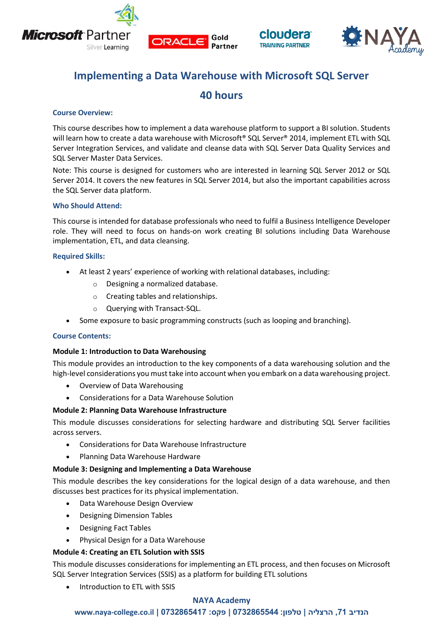







# **Implementing a Data Warehouse with Microsoft SQL Server**

## **40 hours**

## **Course Overview:**

This course describes how to implement a data warehouse platform to support a BI solution. Students will learn how to create a data warehouse with Microsoft® SQL Server® 2014, implement ETL with SQL Server Integration Services, and validate and cleanse data with SQL Server Data Quality Services and SQL Server Master Data Services.

Note: This course is designed for customers who are interested in learning SQL Server 2012 or SQL Server 2014. It covers the new features in SQL Server 2014, but also the important capabilities across the SQL Server data platform.

## **Who Should Attend:**

This course is intended for database professionals who need to fulfil a Business Intelligence Developer role. They will need to focus on hands-on work creating BI solutions including Data Warehouse implementation, ETL, and data cleansing.

## **Required Skills:**

- At least 2 years' experience of working with relational databases, including:
	- o Designing a normalized database.
	- o Creating tables and relationships.
	- o Querying with Transact-SQL.
- Some exposure to basic programming constructs (such as looping and branching).

## **Course Contents:**

## **Module 1: Introduction to Data Warehousing**

This module provides an introduction to the key components of a data warehousing solution and the high-level considerations you must take into account when you embark on a data warehousing project.

- Overview of Data Warehousing
- Considerations for a Data Warehouse Solution

## **Module 2: Planning Data Warehouse Infrastructure**

This module discusses considerations for selecting hardware and distributing SQL Server facilities across servers.

- Considerations for Data Warehouse Infrastructure
- Planning Data Warehouse Hardware

## **Module 3: Designing and Implementing a Data Warehouse**

This module describes the key considerations for the logical design of a data warehouse, and then discusses best practices for its physical implementation.

- Data Warehouse Design Overview
- Designing Dimension Tables
- Designing Fact Tables
- Physical Design for a Data Warehouse

## **Module 4: Creating an ETL Solution with SSIS**

This module discusses considerations for implementing an ETL process, and then focuses on Microsoft SQL Server Integration Services (SSIS) as a platform for building ETL solutions

Introduction to ETL with SSIS

## **NAYA Academy**

## **www.naya-college.co.il | 0732865417 :פקס | 0732865544 :טלפון | הרצליה ,71 הנדיב**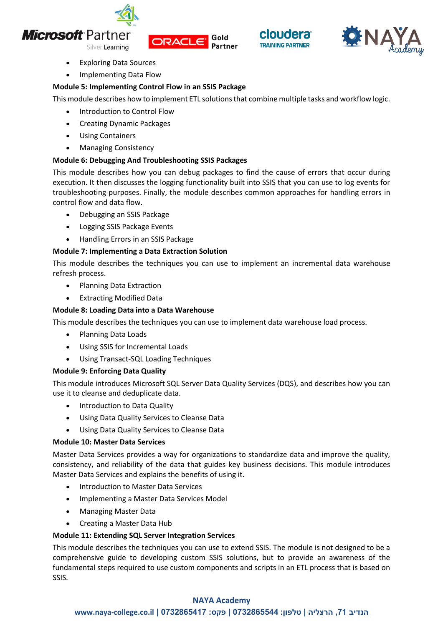

Silver Learning







- Exploring Data Sources
- Implementing Data Flow

## **Module 5: Implementing Control Flow in an SSIS Package**

This module describes how to implement ETL solutions that combine multiple tasks and workflow logic.

- Introduction to Control Flow
- Creating Dynamic Packages
- Using Containers
- Managing Consistency

## **Module 6: Debugging And Troubleshooting SSIS Packages**

This module describes how you can debug packages to find the cause of errors that occur during execution. It then discusses the logging functionality built into SSIS that you can use to log events for troubleshooting purposes. Finally, the module describes common approaches for handling errors in control flow and data flow.

- Debugging an SSIS Package
- Logging SSIS Package Events
- Handling Errors in an SSIS Package

## **Module 7: Implementing a Data Extraction Solution**

This module describes the techniques you can use to implement an incremental data warehouse refresh process.

- Planning Data Extraction
- Extracting Modified Data

## **Module 8: Loading Data into a Data Warehouse**

This module describes the techniques you can use to implement data warehouse load process.

- Planning Data Loads
- Using SSIS for Incremental Loads
- Using Transact-SQL Loading Techniques

## **Module 9: Enforcing Data Quality**

This module introduces Microsoft SQL Server Data Quality Services (DQS), and describes how you can use it to cleanse and deduplicate data.

- Introduction to Data Quality
- Using Data Quality Services to Cleanse Data
- Using Data Quality Services to Cleanse Data

## **Module 10: Master Data Services**

Master Data Services provides a way for organizations to standardize data and improve the quality, consistency, and reliability of the data that guides key business decisions. This module introduces Master Data Services and explains the benefits of using it.

- Introduction to Master Data Services
- Implementing a Master Data Services Model
- Managing Master Data
- Creating a Master Data Hub

## **Module 11: Extending SQL Server Integration Services**

This module describes the techniques you can use to extend SSIS. The module is not designed to be a comprehensive guide to developing custom SSIS solutions, but to provide an awareness of the fundamental steps required to use custom components and scripts in an ETL process that is based on SSIS.

## **NAYA Academy**

## **www.naya-college.co.il | 0732865417 :פקס | 0732865544 :טלפון | הרצליה ,71 הנדיב**